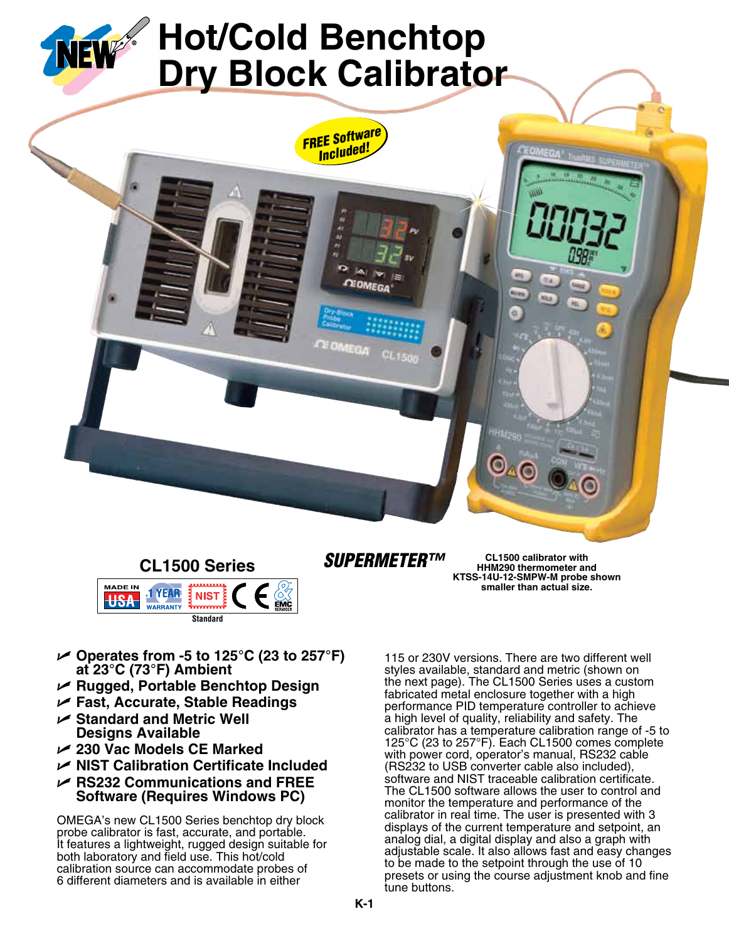

## **CL1500 Series**



## *SuperMETER™*

**CL1500 calibrator with HHM290 thermometer and KTSS-14U-12-SMPW-M probe shown smaller than actual size.**

- U **Operates from -5 to 125°C (23 to 257°F) at 23°C (73°F) Ambient**
- U **Rugged, Portable Benchtop Design**
- U **Fast, Accurate, Stable Readings**
- **► Standard and Metric Well Designs Available**
- U **230 Vac Models CE Marked**
- **► NIST Calibration Certificate Included**
- **► RS232 Communications and FREE Software (Requires Windows PC)**

OMEGA's new CL1500 Series benchtop dry block probe calibrator is fast, accurate, and portable. It features a lightweight, rugged design suitable for both laboratory and field use. This hot/cold calibration source can accommodate probes of 6 different diameters and is available in either

115 or 230V versions. There are two different well styles available, standard and metric (shown on the next page). The CL1500 Series uses a custom fabricated metal enclosure together with a high performance PID temperature controller to achieve a high level of quality, reliability and safety. The calibrator has a temperature calibration range of -5 to 125°C (23 to 257°F). Each CL1500 comes complete with power cord, operator's manual, RS232 cable (RS232 to USB converter cable also included), software and NIST traceable calibration certificate. The CL1500 software allows the user to control and monitor the temperature and performance of the calibrator in real time. The user is presented with 3 displays of the current temperature and setpoint, an analog dial, a digital display and also a graph with adjustable scale. It also allows fast and easy changes to be made to the setpoint through the use of 10 presets or using the course adjustment knob and fine tune buttons.